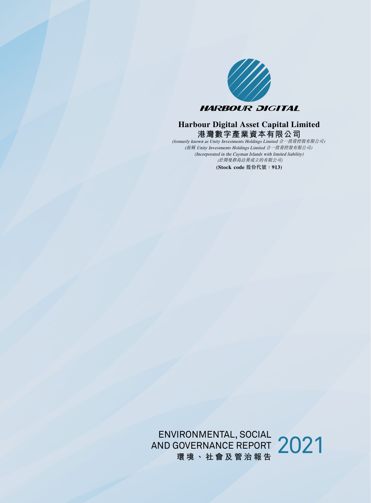

### **港灣數字產業資本有限公司 Harbour Digital Asset Capital Limited**

(Incorporated in the Cayman Islands with limited liability) **(Stock code** 股份代號:**913)** (formerly known as Unity Investments Holdings Limited 合一投資控股有限公司*)* (前稱 Unity Investments Holdings Limited 合一投資控股有限公司*)* (於開曼群島註冊成立的有限公司)

ENVIRONMENTAL, SOCIAL<br>AND GOVERNANCE REPORT 2021<br>環境、社會及管治報告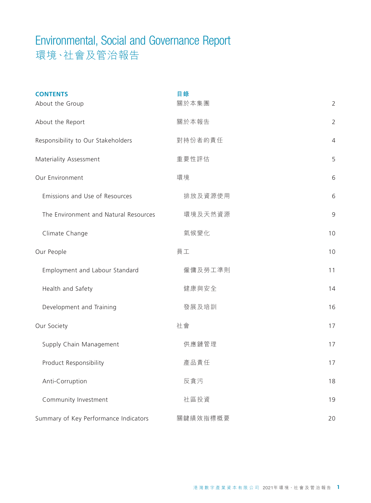| <b>CONTENTS</b>                       | 目錄       |                |
|---------------------------------------|----------|----------------|
| About the Group                       | 關於本集團    | $\overline{2}$ |
| About the Report                      | 關於本報告    | $\overline{2}$ |
| Responsibility to Our Stakeholders    | 對持份者的責任  | $\overline{4}$ |
| Materiality Assessment                | 重要性評估    | 5              |
| Our Environment                       | 環境       | 6              |
| Emissions and Use of Resources        | 排放及資源使用  | 6              |
| The Environment and Natural Resources | 環境及天然資源  | 9              |
| Climate Change                        | 氣候變化     | 10             |
| Our People                            | 員工       | 10             |
| Employment and Labour Standard        | 僱傭及勞工準則  | 11             |
| Health and Safety                     | 健康與安全    | 14             |
| Development and Training              | 發展及培訓    | 16             |
| Our Society                           | 社會       | 17             |
| Supply Chain Management               | 供應鏈管理    | 17             |
| Product Responsibility                | 產品責任     | 17             |
| Anti-Corruption                       | 反貪污      | 18             |
| Community Investment                  | 社區投資     | 19             |
| Summary of Key Performance Indicators | 關鍵績效指標概要 | 20             |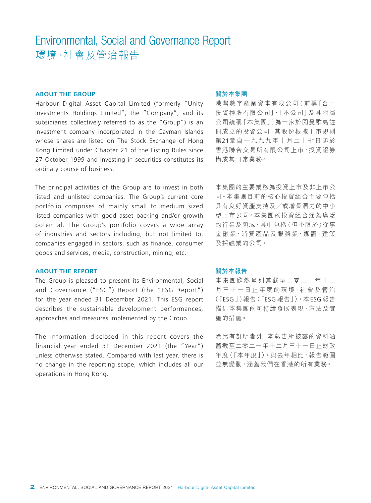#### **ABOUT THE GROUP**

Harbour Digital Asset Capital Limited (formerly "Unity Investments Holdings Limited", the "Company", and its subsidiaries collectively referred to as the "Group") is an investment company incorporated in the Cayman Islands whose shares are listed on The Stock Exchange of Hong Kong Limited under Chapter 21 of the Listing Rules since 27 October 1999 and investing in securities constitutes its ordinary course of business.

The principal activities of the Group are to invest in both listed and unlisted companies. The Group's current core portfolio comprises of mainly small to medium sized listed companies with good asset backing and/or growth potential. The Group's portfolio covers a wide array of industries and sectors including, but not limited to, companies engaged in sectors, such as finance, consumer goods and services, media, construction, mining, etc.

#### **ABOUT THE REPORT**

The Group is pleased to present its Environmental, Social and Governance ("ESG") Report (the "ESG Report") for the year ended 31 December 2021. This ESG report describes the sustainable development performances, approaches and measures implemented by the Group.

The information disclosed in this report covers the financial year ended 31 December 2021 (the "Year") unless otherwise stated. Compared with last year, there is no change in the reporting scope, which includes all our operations in Hong Kong.

#### **關於本集團**

港灣數字產業資本有限公司(前稱「合一 投資控股有限公司」、「本公司」及其附屬 公司統稱「本集團」)為一家於開曼群島註 冊成立的投資公司,其股份根據上市規則 第21章自一九九九年十月二十七日起於 香港聯合交易所有限公司上市,投資證券 構成其日常業務。

本集團的主要業務為投資上市及非上市公 司。本集團目前的核心投資組合主要包括 具有良好資產支持及╱或增長潛力的中小 型上市公司。本集團的投資組合涵蓋廣泛 的行業及領域,其中包括(但不限於)從事 金融業、消費產品及服務業、媒體、建築 及採礦業的公司。

#### **關於本報告**

本集團欣然呈列其截至二零二一年十二 月三十一日止年度的環境、社會及管治 (「ESG」)報告(「ESG 報告」)。本ESG 報告 描述本集團的可持續發展表現、方法及實 施的措施。

除另有訂明者外,本報告所披露的資料涵 蓋截至二零二一年十二月三十一日止財政 年度(「本年度」)。與去年相比,報告範圍 並無變動,涵蓋我們在香港的所有業務。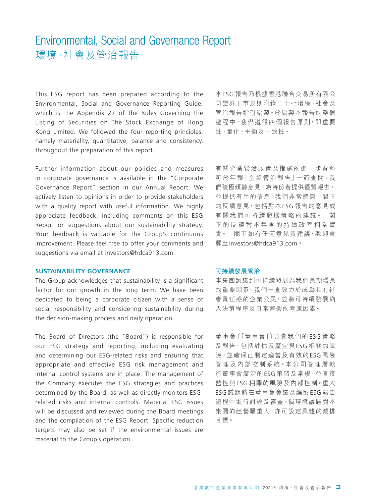This ESG report has been prepared according to the Environmental, Social and Governance Reporting Guide, which is the Appendix 27 of the Rules Governing the Listing of Securities on The Stock Exchange of Hong Kong Limited. We followed the four reporting principles, namely materiality, quantitative, balance and consistency, throughout the preparation of this report.

Further information about our policies and measures in corporate governance is available in the "Corporate Governance Report" section in our Annual Report. We actively listen to opinions in order to provide stakeholders with a quality report with useful information. We highly appreciate feedback, including comments on this ESG Report or suggestions about our sustainability strategy. Your feedback is valuable for the Group's continuous improvement. Please feel free to offer your comments and suggestions via email at investors@hdca913.com.

#### **SUSTAINABILITY GOVERNANCE**

The Group acknowledges that sustainability is a significant factor for our growth in the long term. We have been dedicated to being a corporate citizen with a sense of social responsibility and considering sustainability during the decision-making process and daily operation.

The Board of Directors (the "Board") is responsible for our ESG strategy and reporting, including evaluating and determining our ESG-related risks and ensuring that appropriate and effective ESG risk management and internal control systems are in place. The management of the Company executes the ESG strategies and practices determined by the Board, as well as directly monitors ESGrelated risks and internal controls. Material ESG issues will be discussed and reviewed during the Board meetings and the compilation of the ESG Report. Specific reduction targets may also be set if the environmental issues are material to the Group's operation.

本ESG 報告乃根據香港聯合交易所有限公 司證券上市規則附錄二十七環境、社會及 管治報告指引編製。於編製本報告的整個 過程中,我們遵循四個報告原則,即重要 性、量化、平衡及一致性。

有關企業管治政策及措施的進一步資料 可於年報「企業管治報告」一節查閲。我 們積極傾聽意見,為持份者提供優質報告, 並提供有用的信息。我們非常感謝 閣下 的反饋意見,包括對本ESG 報告的意見或 有關我們可持續發展策略的建議。 閣 下的反饋對本集團的持續改善相當寶 貴。 閣下如有任何意見及建議,歡迎電 郵至investors@hdca913.com。

#### **可持續發展管治**

本集團認識到可持續發展為我們長期增長 的重要因素。我們一直致力於成為具有社 會責任感的企業公民,並將可持續發展納 入決策程序及日常運營的考慮因素。

董事會(「董事會」)負責我們的 ESG 策略 及報告,包括評估及釐定與ESG 相關的風 險,並確保已制定適當及有效的ESG 風險 管理及內部控制系統。本公司管理層執 行董事會釐定的ESG 策略及常規,並直接 監控與ESG 相關的風險及內部控制。重大 ESG 議題將在董事會會議及編製ESG 報告 過程中進行討論及審查。倘環境議題對本 集團的經營屬重大,亦可設定具體的減排 目標。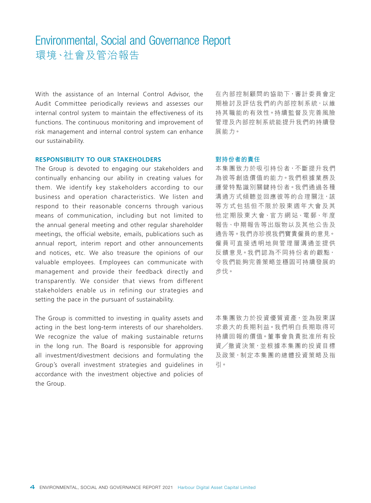With the assistance of an Internal Control Advisor, the Audit Committee periodically reviews and assesses our internal control system to maintain the effectiveness of its functions. The continuous monitoring and improvement of risk management and internal control system can enhance our sustainability.

**RESPONSIBILITY TO OUR STAKEHOLDERS**

The Group is devoted to engaging our stakeholders and continually enhancing our ability in creating values for them. We identify key stakeholders according to our business and operation characteristics. We listen and respond to their reasonable concerns through various means of communication, including but not limited to the annual general meeting and other regular shareholder meetings, the official website, emails, publications such as annual report, interim report and other announcements and notices, etc. We also treasure the opinions of our valuable employees. Employees can communicate with management and provide their feedback directly and transparently. We consider that views from different stakeholders enable us in refining our strategies and setting the pace in the pursuant of sustainability.

The Group is committed to investing in quality assets and acting in the best long-term interests of our shareholders. We recognize the value of making sustainable returns in the long run. The Board is responsible for approving all investment/divestment decisions and formulating the Group's overall investment strategies and guidelines in accordance with the investment objective and policies of the Group.

在內部控制顧問的協助下,審計委員會定 期檢討及評估我們的內部控制系統,以維 持其職能的有效性。持續監督及完善風險 管理及內部控制系統能提升我們的持續發 展能力。

#### **對持份者的責任**

本集團致力於吸引持份者,不斷提升我們 為彼等創造價值的能力。我們根據業務及 運營特點識別關鍵持份者。我們通過各種 溝通方式傾聽並回應彼等的合理關注,該 等方式包括但不限於股東週年大會及其 他定期股東大會、官方網站、電郵、年度 報告、中期報告等出版物以及其他公告及 通告等。我們亦珍視我們寶貴僱員的意見。 僱員可直接透明地與管理層溝通並提供 反饋意見。我們認為不同持份者的觀點, 令我們能夠完善策略並穩固可持續發展的 步伐。

本集團致力於投資優質資產,並為股東謀 求最大的長期利益。我們明白長期取得可 持續回報的價值。董事會負責批准所有投 資╱撤資決策,並根據本集團的投資目標 及政策,制定本集團的總體投資策略及指 引。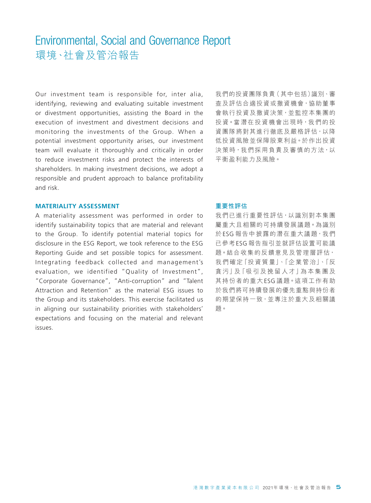Our investment team is responsible for, inter alia, identifying, reviewing and evaluating suitable investment or divestment opportunities, assisting the Board in the execution of investment and divestment decisions and monitoring the investments of the Group. When a potential investment opportunity arises, our investment team will evaluate it thoroughly and critically in order to reduce investment risks and protect the interests of shareholders. In making investment decisions, we adopt a responsible and prudent approach to balance profitability and risk.

#### **MATERIALITY ASSESSMENT**

A materiality assessment was performed in order to identify sustainability topics that are material and relevant to the Group. To identify potential material topics for disclosure in the ESG Report, we took reference to the ESG Reporting Guide and set possible topics for assessment. Integrating feedback collected and management's evaluation, we identified "Quality of Investment", "Corporate Governance", "Anti-corruption" and "Talent Attraction and Retention" as the material ESG issues to the Group and its stakeholders. This exercise facilitated us in aligning our sustainability priorities with stakeholders' expectations and focusing on the material and relevant issues.

我們的投資團隊負責(其中包括)識別、審 查及評估合適投資或撤資機會,協助董事 會執行投資及撤資決策,並監控本集團的 投資。當潛在投資機會出現時,我們的投 資團隊將對其進行徹底及嚴格評估,以降 低投資風險並保障股東利益。於作出投資 決策時,我們採用負責及審慎的方法,以 平衡盈利能力及風險。

#### **重要性評估**

我們已進行重要性評估,以識別對本集團 屬重大且相關的可持續發展議題。為識別 於ESG 報告中披露的潛在重大議題,我們 已參考ESG 報告指引並就評估設置可能議 題。結合收集的反饋意見及管理層評估, 我們確定「投資質量」、「企業管治」、「反 貪 污」及「吸 引 及 挽 留 人 才」為 本 集 團 及 其持份者的重大ESG 議題。這項工作有助 於我們將可持續發展的優先重點與持份者 的期望保持一致,並專注於重大及相關議 題。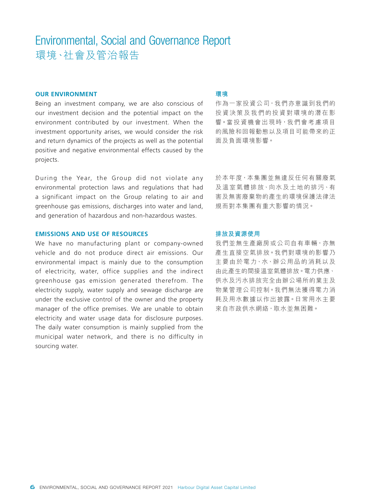#### **OUR ENVIRONMENT**

Being an investment company, we are also conscious of our investment decision and the potential impact on the environment contributed by our investment. When the investment opportunity arises, we would consider the risk and return dynamics of the projects as well as the potential positive and negative environmental effects caused by the projects.

During the Year, the Group did not violate any environmental protection laws and regulations that had a significant impact on the Group relating to air and greenhouse gas emissions, discharges into water and land, and generation of hazardous and non-hazardous wastes.

#### **EMISSIONS AND USE OF RESOURCES**

We have no manufacturing plant or company-owned vehicle and do not produce direct air emissions. Our environmental impact is mainly due to the consumption of electricity, water, office supplies and the indirect greenhouse gas emission generated therefrom. The electricity supply, water supply and sewage discharge are under the exclusive control of the owner and the property manager of the office premises. We are unable to obtain electricity and water usage data for disclosure purposes. The daily water consumption is mainly supplied from the municipal water network, and there is no difficulty in sourcing water.

#### **環境**

作為一家投資公司,我們亦意識到我們的 投資決策及我們的投資對環境的潛在影 響。當投資機會出現時,我們會考慮項目 的風險和回報動態以及項目可能帶來的正 面及負面環境影響。

於本年度,本集團並無違反任何有關廢氣 及溫室氣體排放、向水及土地的排污、有 害及無害廢棄物的產生的環境保護法律法 規而對本集團有重大影響的情況。

#### **排放及資源使用**

我們並無生產廠房或公司自有車輛,亦無 產生直接空氣排放。我們對環境的影響乃 主要由於電力、水、辦公用品的消耗以及 由此產生的間接溫室氣體排放。電力供應、 供水及污水排放完全由辦公場所的業主及 物業管理公司控制。我們無法獲得電力消 耗及用水數據以作出披露。日常用水主要 來自市政供水網絡,取水並無困難。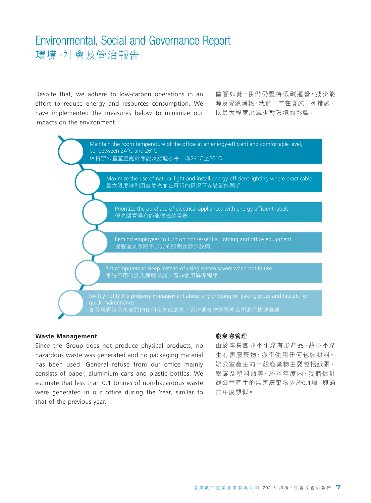Despite that, we adhere to low-carbon operations in an effort to reduce energy and resources consumption. We have implemented the measures below to minimize our impacts on the environment.

儘管如此,我們仍堅持低碳運營,減少能 源及資源消耗。我們一直在實施下列措施, 以最大程度地減少對環境的影響。



#### **Waste Management**

Since the Group does not produce physical products, no hazardous waste was generated and no packaging material has been used. General refuse from our office mainly consists of paper, aluminium cans and plastic bottles. We estimate that less than 0.1 tonnes of non-hazardous waste were generated in our office during the Year, similar to that of the previous year.

#### **廢棄物管理**

由於本集團並不生產有形產品,故並不產 生有害廢棄物,亦不使用任何包裝材料。 辦公室產生的一般廢棄物主要包括紙張、 鋁罐及塑料瓶等。於本年度內,我們估計 辦公室產生的無害廢棄物少於0.1噸,與過 往年度類似。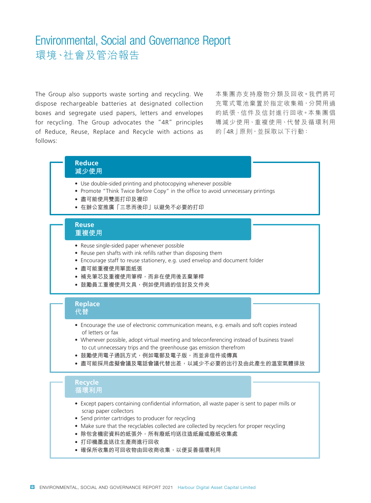The Group also supports waste sorting and recycling. We dispose rechargeable batteries at designated collection boxes and segregate used papers, letters and envelopes for recycling. The Group advocates the "4R" principles of Reduce, Reuse, Replace and Recycle with actions as follows:

本集團亦支持廢物分類及回收。我們將可 充電式電池棄置於指定收集箱,分開用過 的紙張、信件及信封進行回收。本集團倡 導減少使用、重複使用、代替及循環利用 的「4R」原則,並採取以下行動:

#### **Reduce 減少使用**

- Use double-sided printing and photocopying whenever possible
- Promote "Think Twice Before Copy" in the office to avoid unnecessary printings
- 盡可能使用雙面打印及複印
- 在辦公室推廣「三思而後印」以避免不必要的打印

#### **Reuse 重複使用**

- Reuse single-sided paper whenever possible
- Reuse pen shafts with ink refills rather than disposing them
- Encourage staff to reuse stationery, e.g. used envelop and document folder
- 盡可能重複使用單面紙張
- 補充筆芯及重複使用筆桿,而非在使用後丟棄筆桿
- 鼓勵員工重複使用文具,例如使用過的信封及文件夾

#### **Replace 代替**

- Encourage the use of electronic communication means, e.g. emails and soft copies instead of letters or fax
- Whenever possible, adopt virtual meeting and teleconferencing instead of business travel to cut unnecessary trips and the greenhouse gas emission therefrom
- 鼓勵使用電子通訊方式,例如電郵及電子版,而並非信件或傳真
- 盡可能採用虛擬會議及電話會議代替出差,以減少不必要的出行及由此產生的溫室氣體排放

#### **Recycle 循環利用**

- Except papers containing confidential information, all waste paper is sent to paper mills or scrap paper collectors
- Send printer cartridges to producer for recycling
- Make sure that the recyclables collected are collected by recyclers for proper recycling
- 除包含機密資料的紙張外,所有廢紙均送往造紙廠或廢紙收集處
- 打印機墨盒送往生產商進行回收
- 確保所收集的可回收物由回收商收集, 以便妥善循環利用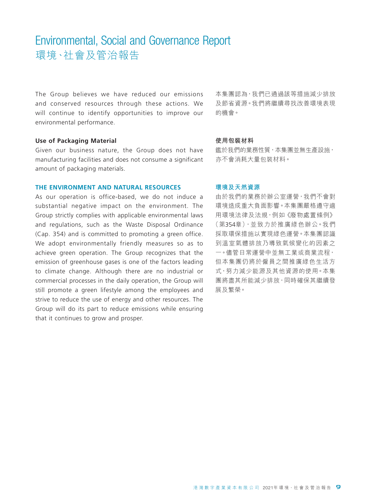The Group believes we have reduced our emissions and conserved resources through these actions. We will continue to identify opportunities to improve our environmental performance.

#### **Use of Packaging Material**

Given our business nature, the Group does not have manufacturing facilities and does not consume a significant amount of packaging materials.

#### **THE ENVIRONMENT AND NATURAL RESOURCES**

As our operation is office-based, we do not induce a substantial negative impact on the environment. The Group strictly complies with applicable environmental laws and regulations, such as the Waste Disposal Ordinance (Cap. 354) and is committed to promoting a green office. We adopt environmentally friendly measures so as to achieve green operation. The Group recognizes that the emission of greenhouse gases is one of the factors leading to climate change. Although there are no industrial or commercial processes in the daily operation, the Group will still promote a green lifestyle among the employees and strive to reduce the use of energy and other resources. The Group will do its part to reduce emissions while ensuring that it continues to grow and prosper.

本集團認為,我們已通過該等措施減少排放 及節省資源。我們將繼續尋找改善環境表現 的機會。

#### **使用包裝材料**

鑑於我們的業務性質,本集團並無生產設施, 亦不會消耗大量包裝材料。

#### **環境及天然資源**

由於我們的業務於辦公室運營,我們不會對 環境造成重大負面影響。本集團嚴格遵守適 用環境法律及法規,例如《廢物處置條例》 (第354章),並致力於推廣綠色辦公。我們 採取環保措施以實現綠色運營。本集團認識 到溫室氣體排放乃導致氣候變化的因素之 一。儘管日常運營中並無工業或商業流程, 但本集團仍將於僱員之間推廣綠色生活方 式,努力減少能源及其他資源的使用。本集 團將盡其所能減少排放,同時確保其繼續發 展及繁榮。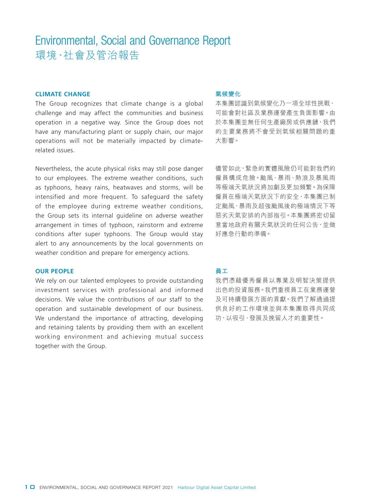#### **CLIMATE CHANGE**

The Group recognizes that climate change is a global challenge and may affect the communities and business operation in a negative way. Since the Group does not have any manufacturing plant or supply chain, our major operations will not be materially impacted by climaterelated issues.

Nevertheless, the acute physical risks may still pose danger to our employees. The extreme weather conditions, such as typhoons, heavy rains, heatwaves and storms, will be intensified and more frequent. To safeguard the safety of the employee during extreme weather conditions, the Group sets its internal guideline on adverse weather arrangement in times of typhoon, rainstorm and extreme conditions after super typhoons. The Group would stay alert to any announcements by the local governments on weather condition and prepare for emergency actions.

#### **OUR PEOPLE**

We rely on our talented employees to provide outstanding investment services with professional and informed decisions. We value the contributions of our staff to the operation and sustainable development of our business. We understand the importance of attracting, developing and retaining talents by providing them with an excellent working environment and achieving mutual success together with the Group.

#### **氣候變化**

本集團認識到氣候變化乃一項全球性挑戰, 可能會對社區及業務運營產生負面影響。由 於本集團並無任何生產廠房或供應鏈,我們 的主要業務將不會受到氣候相關問題的重 大影響。

儘管如此,緊急的實體風險仍可能對我們的 僱員構成危險。颱風、暴雨、熱浪及暴風雨 等極端天氣狀況將加劇及更加頻繁。為保障 僱員在極端天氣狀況下的安全,本集團已制 定颱風、暴雨及超強颱風後的極端情況下等 惡劣天氣安排的內部指引。本集團將密切留 意當地政府有關天氣狀況的任何公告,並做 好應急行動的準備。

#### **員工**

我們憑藉優秀僱員以專業及明智決策提供 出色的投資服務。我們重視員工在業務運營 及可持續發展方面的貢獻。我們了解通過提 供良好的工作環境並與本集團取得共同成 功,以吸引、發展及挽留人才的重要性。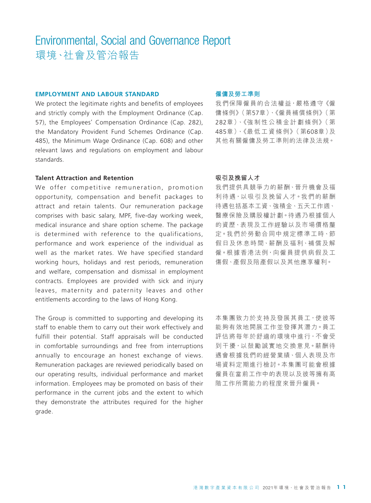#### **EMPLOYMENT AND LABOUR STANDARD**

We protect the legitimate rights and benefits of employees and strictly comply with the Employment Ordinance (Cap. 57), the Employees' Compensation Ordinance (Cap. 282), the Mandatory Provident Fund Schemes Ordinance (Cap. 485), the Minimum Wage Ordinance (Cap. 608) and other relevant laws and regulations on employment and labour standards.

#### **Talent Attraction and Retention**

We offer competitive remuneration, promotion opportunity, compensation and benefit packages to attract and retain talents. Our remuneration package comprises with basic salary, MPF, five-day working week, medical insurance and share option scheme. The package is determined with reference to the qualifications, performance and work experience of the individual as well as the market rates. We have specified standard working hours, holidays and rest periods, remuneration and welfare, compensation and dismissal in employment contracts. Employees are provided with sick and injury leaves, maternity and paternity leaves and other entitlements according to the laws of Hong Kong.

The Group is committed to supporting and developing its staff to enable them to carry out their work effectively and fulfill their potential. Staff appraisals will be conducted in comfortable surroundings and free from interruptions annually to encourage an honest exchange of views. Remuneration packages are reviewed periodically based on our operating results, individual performance and market information. Employees may be promoted on basis of their performance in the current jobs and the extent to which they demonstrate the attributes required for the higher grade.

#### **僱傭及勞工準則**

我們保障僱員的合法權益,嚴格遵守《僱 傭條例》(第57章)、《僱員補償條例》(第 282章)、《強 制 性 公 積 金 計 劃 條 例》( 第 485章)、《最 低 工 資 條 例》( 第608章)及 其他有關僱傭及勞工準則的法律及法規。

#### **吸引及挽留人才**

我們提供具競爭力的薪酬、晉升機會及福 利待遇,以吸引及挽留人才。我們的薪酬 待遇包括基本工資、強積金、五天工作週、 醫療保險及購股權計劃。待遇乃根據個人 的資歷、表現及工作經驗以及市場價格釐 定。我們於勞動合同中規定標準工時、節 假日及休息時間、薪酬及福利、補償及解 僱。根據香港法例,向僱員提供病假及工 傷假、產假及陪產假以及其他應享權利。

本集團致力於支持及發展其員工,使彼等 能夠有效地開展工作並發揮其潛力。員工 評估將每年於舒適的環境中進行,不會受 到干擾,以鼓勵誠實地交換意見。薪酬待 遇會根據我們的經營業績、個人表現及市 場資料定期進行檢討。本集團可能會根據 僱員在當前工作中的表現以及彼等擁有高 階工作所需能力的程度來晉升僱員。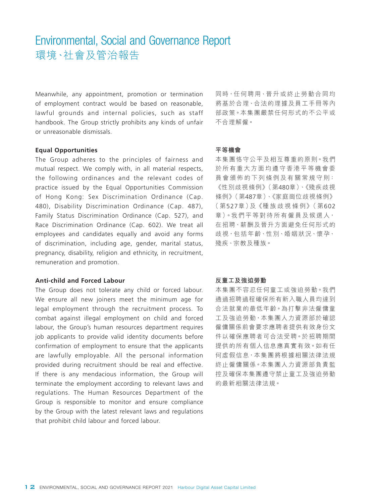Meanwhile, any appointment, promotion or termination of employment contract would be based on reasonable, lawful grounds and internal policies, such as staff handbook. The Group strictly prohibits any kinds of unfair or unreasonable dismissals.

#### **Equal Opportunities**

The Group adheres to the principles of fairness and mutual respect. We comply with, in all material respects, the following ordinances and the relevant codes of practice issued by the Equal Opportunities Commission of Hong Kong: Sex Discrimination Ordinance (Cap. 480), Disability Discrimination Ordinance (Cap. 487), Family Status Discrimination Ordinance (Cap. 527), and Race Discrimination Ordinance (Cap. 602). We treat all employees and candidates equally and avoid any forms of discrimination, including age, gender, marital status, pregnancy, disability, religion and ethnicity, in recruitment, remuneration and promotion.

#### **Anti-child and Forced Labour**

The Group does not tolerate any child or forced labour. We ensure all new joiners meet the minimum age for legal employment through the recruitment process. To combat against illegal employment on child and forced labour, the Group's human resources department requires job applicants to provide valid identity documents before confirmation of employment to ensure that the applicants are lawfully employable. All the personal information provided during recruitment should be real and effective. If there is any mendacious information, the Group will terminate the employment according to relevant laws and regulations. The Human Resources Department of the Group is responsible to monitor and ensure compliance by the Group with the latest relevant laws and regulations that prohibit child labour and forced labour.

同時,任何聘用、晉升或終止勞動合同均 將基於合理、合法的理據及員工手冊等內 部政策。本集團嚴禁任何形式的不公平或 不合理解僱。

#### **平等機會**

本集團恪守公平及相互尊重的原則。我們 於所有重大方面均遵守香港平等機會委 員 會 頒 佈 的 下 列 條 例 及 有 關 常 規 守 則: 《性別歧視條例》(第480章)、《殘疾歧視 條例》(第487章)、《家庭崗位歧視條例》 ( 第527章)及《種 族 歧 視 條 例》( 第602 章)。我們平等對待所有僱員及候選人, 在招聘、薪酬及晉升方面避免任何形式的 歧視,包括年齡、性別、婚姻狀況、懷孕、 殘疾、宗教及種族。

#### **反童工及強迫勞動**

本集團不容忍任何童工或強迫勞動。我們 通過招聘過程確保所有新入職人員均達到 合法就業的最低年齡。為打擊非法僱傭童 工及強迫勞動,本集團人力資源部於確認 僱傭關係前會要求應聘者提供有效身份文 件以確保應聘者可合法受聘。於招聘期間 提供的所有個人信息應真實有效。如有任 何虛假信息,本集團將根據相關法律法規 終止僱傭關係。本集團人力資源部負責監 控及確保本集團遵守禁止童工及強迫勞動 的最新相關法律法規。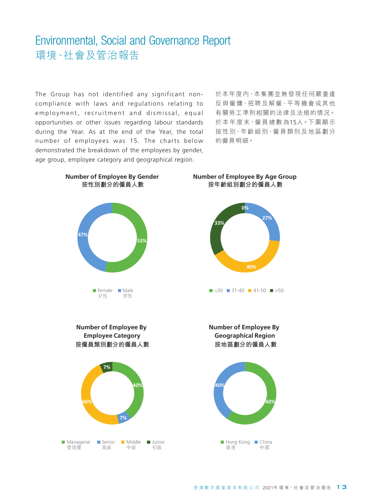The Group has not identified any significant noncompliance with laws and regulations relating to employment, recruitment and dismissal, equal opportunities or other issues regarding labour standards during the Year. As at the end of the Year, the total number of employees was 15. The charts below demonstrated the breakdown of the employees by gender, age group, employee category and geographical region.

於本年度內,本集團並無發現任何嚴重違 反與僱傭、招聘及解僱、平等機會或其他 有關勞工準則相關的法律及法規的情況。 於本年度末,僱員總數為15人。下圖顯示 按性別、年齡組別、僱員類別及地區劃分 的僱員明細。

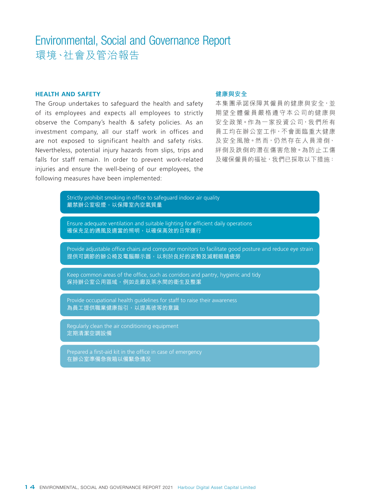#### **HEALTH AND SAFETY**

The Group undertakes to safeguard the health and safety of its employees and expects all employees to strictly observe the Company's health & safety policies. As an investment company, all our staff work in offices and are not exposed to significant health and safety risks. Nevertheless, potential injury hazards from slips, trips and falls for staff remain. In order to prevent work-related injuries and ensure the well-being of our employees, the following measures have been implemented:

#### **健康與安全**

本集團承諾保障其僱員的健康與安全,並 期望全體僱員嚴格遵守本公司的健康與 安全政策。作為一家投資公司,我們所有 員工均在辦公室工作,不會面臨重大健康 及安全風險。然而,仍然存在人員滑倒、 絆倒及跌倒的潛在傷害危險。為防止工傷 及確保僱員的福祉, 我們已採取以下措施:

Strictly prohibit smoking in office to safeguard indoor air quality 嚴禁辦公室吸煙,以保障室內空氣質量

Ensure adequate ventilation and suitable lighting for efficient daily operations 確保充足的通風及適當的照明,以確保高效的日常運行

Provide adjustable office chairs and computer monitors to facilitate good posture and reduce eye strain 提供可調節的辦公椅及電腦顯示器,以利於良好的姿勢及減輕眼睛疲勞

Keep common areas of the office, such as corridors and pantry, hygienic and tidy 保持辦公室公用區域,例如走廊及茶水間的衛生及整潔

Provide occupational health guidelines for staff to raise their awareness 為員工提供職業健康指引,以提高彼等的意識

Regularly clean the air conditioning equipment 定期清潔空調設備

Prepared a first-aid kit in the office in case of emergency 在辦公室準備急救箱以備緊急情況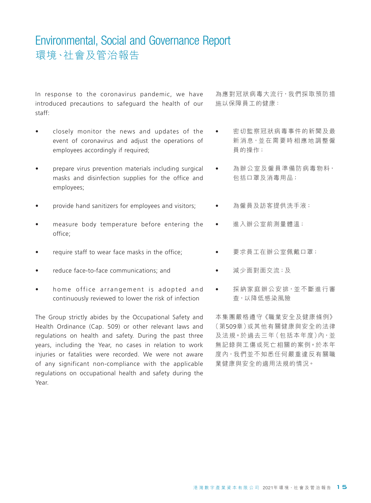In response to the coronavirus pandemic, we have introduced precautions to safeguard the health of our staff:

- closely monitor the news and updates of the event of coronavirus and adjust the operations of employees accordingly if required;
- prepare virus prevention materials including surgical masks and disinfection supplies for the office and employees;
- provide hand sanitizers for employees and visitors;
- measure body temperature before entering the office;
- require staff to wear face masks in the office;
- reduce face-to-face communications; and
- home office arrangement is adopted and continuously reviewed to lower the risk of infection

The Group strictly abides by the Occupational Safety and Health Ordinance (Cap. 509) or other relevant laws and regulations on health and safety. During the past three years, including the Year, no cases in relation to work injuries or fatalities were recorded. We were not aware of any significant non-compliance with the applicable regulations on occupational health and safety during the Year.

為應對冠狀病毒大流行,我們採取預防措 施以保障員工的健康:

- 密切監察冠狀病毒事件的新聞及最 新消息,並在需要時相應地調整僱 員的操作;
- 為辦公室及僱員準備防病毒物料, 包括口罩及消毒用品;
- 為僱員及訪客提供洗手液;
	- 進入辦公室前測量體溫;
- 要求員工在辦公室佩戴口罩;
- 減少面對面交流;及
- 採納家庭辦公安排,並不斷進行審 查,以降低感染風險

本集團嚴格遵守《職業安全及健康條例》 (第509章)或其他有關健康與安全的法律 及法規。於過去三年(包括本年度)內,並 無記錄與工傷或死亡相關的案例。於本年 度內,我們並不知悉任何嚴重違反有關職 業健康與安全的適用法規的情況。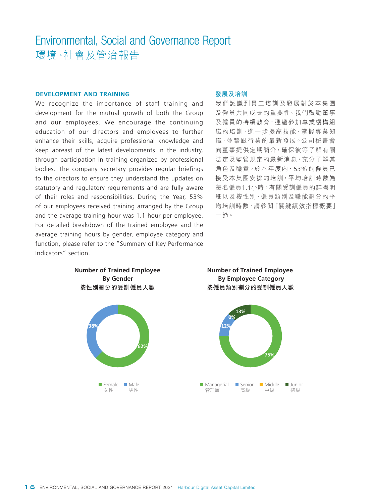#### **DEVELOPMENT AND TRAINING**

We recognize the importance of staff training and development for the mutual growth of both the Group and our employees. We encourage the continuing education of our directors and employees to further enhance their skills, acquire professional knowledge and keep abreast of the latest developments in the industry, through participation in training organized by professional bodies. The company secretary provides regular briefings to the directors to ensure they understand the updates on statutory and regulatory requirements and are fully aware of their roles and responsibilities. During the Year, 53% of our employees received training arranged by the Group and the average training hour was 1.1 hour per employee. For detailed breakdown of the trained employee and the average training hours by gender, employee category and function, please refer to the "Summary of Key Performance Indicators" section.

#### **發展及培訓**

我們認識到員工培訓及發展對於本集團 及僱員共同成長的重要性。我們鼓勵董事 及僱員的持續教育,通過參加專業機構組 織的培訓,進一步提高技能,掌握專業知 識,並緊跟行業的最新發展。公司秘書會 向董事提供定期簡介,確保彼等了解有關 法定及監管規定的最新消息, 充分了解其 角色及職責。於本年度內,53% 的僱員已 接受本集團安排的培訓,平均培訓時數為 每名僱員1.1小時。有關受訓僱員的詳盡明 細以及按性別、僱員類別及職能劃分的平 均培訓時數,請參閱「關鍵績效指標概要」 一節。



**Number of Trained Employee By Gender**

**按僱員類別劃分的受訓僱員人數 Number of Trained Employee By Employee Category**

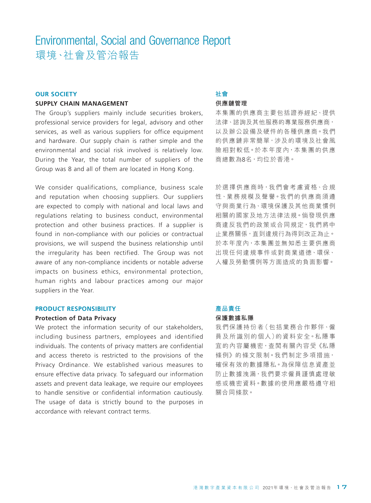#### **OUR SOCIETY**

#### **SUPPLY CHAIN MANAGEMENT**

The Group's suppliers mainly include securities brokers, professional service providers for legal, advisory and other services, as well as various suppliers for office equipment and hardware. Our supply chain is rather simple and the environmental and social risk involved is relatively low. During the Year, the total number of suppliers of the Group was 8 and all of them are located in Hong Kong.

We consider qualifications, compliance, business scale and reputation when choosing suppliers. Our suppliers are expected to comply with national and local laws and regulations relating to business conduct, environmental protection and other business practices. If a supplier is found in non-compliance with our policies or contractual provisions, we will suspend the business relationship until the irregularity has been rectified. The Group was not aware of any non-compliance incidents or notable adverse impacts on business ethics, environmental protection, human rights and labour practices among our major suppliers in the Year.

#### **PRODUCT RESPONSIBILITY**

#### **Protection of Data Privacy**

We protect the information security of our stakeholders, including business partners, employees and identified individuals. The contents of privacy matters are confidential and access thereto is restricted to the provisions of the Privacy Ordinance. We established various measures to ensure effective data privacy. To safeguard our information assets and prevent data leakage, we require our employees to handle sensitive or confidential information cautiously. The usage of data is strictly bound to the purposes in accordance with relevant contract terms.

#### **社會 供應鏈管理**

本集團的供應商主要包括證券經紀、提供 法律、諮詢及其他服務的專業服務供應商, 以及辦公設備及硬件的各種供應商。我們 的供應鏈非常簡單,涉及的環境及社會風 險相對較低。於本年度內,本集團的供應 商總數為8名,均位於香港。

於選擇供應商時,我們會考慮資格、合規 性、業務規模及聲譽。我們的供應商須遵 守與商業行為、環境保護及其他商業慣例 相關的國家及地方法律法規。倘發現供應 商違反我們的政策或合同規定, 我們將中 止業務關係,直到違規行為得到改正為止。 於本年度內,本集團並無知悉主要供應商 出現任何違規事件或對商業道德、環保、 人權及勞動慣例等方面造成的負面影響。

### **產品責任**

#### **保護數據私隱**

我們保護持份者(包括業務合作夥伴、僱 員及所識別的個人)的資料安全。私隱事 宜的內容屬機密,查閱有關內容受《私隱 條例》的條文限制。我們制定多項措施, 確保有效的數據隱私。為保障信息資產並 防止數據洩漏,我們要求僱員謹慎處理敏 感或機密資料。數據的使用應嚴格遵守相 關合同條款。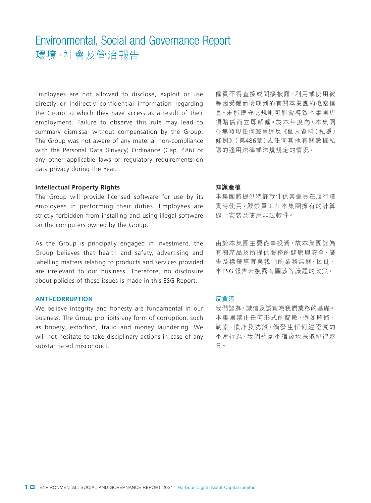Employees are not allowed to disclose, exploit or use directly or indirectly confidential information regarding the Group to which they have access as a result of their employment. Failure to observe this rule may lead to summary dismissal without compensation by the Group. The Group was not aware of any material non-compliance with the Personal Data (Privacy) Ordinance (Cap. 486) or any other applicable laws or regulatory requirements on data privacy during the Year.

#### **Intellectual Property Rights**

The Group will provide licensed software for use by its employees in performing their duties. Employees are strictly forbidden from installing and using illegal software on the computers owned by the Group.

As the Group is principally engaged in investment, the Group believes that health and safety, advertising and labelling matters relating to products and services provided are irrelevant to our business. Therefore, no disclosure about policies of these issues is made in this ESG Report.

#### **ANTI-CORRUPTION**

We believe integrity and honesty are fundamental in our business. The Group prohibits any form of corruption, such as bribery, extortion, fraud and money laundering. We will not hesitate to take disciplinary actions in case of any substantiated misconduct.

僱員不得直接或間接披露、利用或使用彼 等因受僱而接觸到的有關本集團的機密信 息。未能遵守此規則可能會導致本集團毋 須賠償而立即解僱。於本年度內,本集團 並無發現任何嚴重違反《個人資料(私隱) 條例》(第486章)或任何其他有關數據私 隱的適用法律或法規規定的情況。

#### **知識產權**

本集團將提供特許軟件供其僱員在履行職 責時使用。嚴禁員工在本集團擁有的計算 機上安裝及使用非法軟件。

由於本集團主要從事投資,故本集團認為 有關產品及所提供服務的健康與安全、廣 告及標籤事宜與我們的業務無關。因此, 本ESG 報告未披露有關該等議題的政策。

#### **反貪污**

我們認為,誠信及誠實為我們業務的基礎。 本集團禁止任何形式的腐敗,例如賄賂、 勒索、欺詐及洗錢。倘發生任何經證實的 不當行為,我們將毫不猶豫地採取紀律處 分。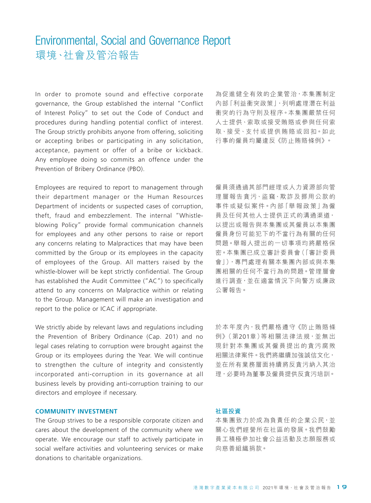In order to promote sound and effective corporate governance, the Group established the internal "Conflict of Interest Policy" to set out the Code of Conduct and procedures during handling potential conflict of interest. The Group strictly prohibits anyone from offering, soliciting or accepting bribes or participating in any solicitation, acceptance, payment or offer of a bribe or kickback. Any employee doing so commits an offence under the Prevention of Bribery Ordinance (PBO).

Employees are required to report to management through their department manager or the Human Resources Department of incidents or suspected cases of corruption, theft, fraud and embezzlement. The internal "Whistleblowing Policy" provide formal communication channels for employees and any other persons to raise or report any concerns relating to Malpractices that may have been committed by the Group or its employees in the capacity of employees of the Group. All matters raised by the whistle-blower will be kept strictly confidential. The Group has established the Audit Committee ("AC") to specifically attend to any concerns on Malpractice within or relating to the Group. Management will make an investigation and report to the police or ICAC if appropriate.

We strictly abide by relevant laws and regulations including the Prevention of Bribery Ordinance (Cap. 201) and no legal cases relating to corruption were brought against the Group or its employees during the Year. We will continue to strengthen the culture of integrity and consistently incorporated anti-corruption in its governance at all business levels by providing anti-corruption training to our directors and employee if necessary.

#### **COMMUNITY INVESTMENT**

The Group strives to be a responsible corporate citizen and cares about the development of the community where we operate. We encourage our staff to actively participate in social welfare activities and volunteering services or make donations to charitable organizations.

為促進健全有效的企業管治,本集團制定 內部「利益衝突政策」,列明處理潛在利益 衝突的行為守則及程序。本集團嚴禁任何 人士提供、索取或接受賄賂或參與任何索 取、接受、支付或提供賄賂或回扣。如此 行事的僱員均屬違反《防止賄賂條例》。

僱員須通過其部門經理或人力資源部向管 理層報告貪污、盜竊、欺詐及挪用公款的 事 件 或 疑 似 案 件。內 部「舉 報 政 策」為 僱 員及任何其他人士提供正式的溝通渠道, 以提出或報告與本集團或其僱員以本集團 僱員身份可能犯下的不當行為有關的任何 問題。舉報人提出的一切事項均將嚴格保 密。本集團已成立審計委員會(「審計委員 會」),專門處理有關本集團內部或與本集 團相關的任何不當行為的問題。管理層會 進行調查,並在適當情況下向警方或廉政 公署報告。

於本年度內,我們嚴格遵守《防止賄賂條 例》(第201章) 等相關法律法規, 並無出 現針對本集團或其僱員提出的貪污腐敗 相關法律案件。我們將繼續加強誠信文化, 並在所有業務層面持續將反貪污納入其治 理,必要時為董事及僱員提供反貪污培訓。

#### **社區投資**

本集團致力於成為負責任的企業公民,並 關心我們經營所在社區的發展。我們鼓勵 員工積極參加社會公益活動及志願服務或 向慈善組織捐款。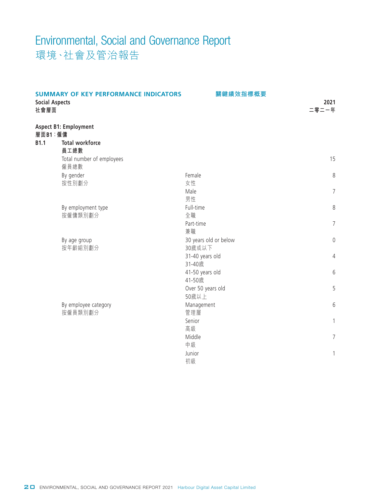| <b>SUMMARY OF KEY PERFORMANCE INDICATORS</b><br><b>Social Aspects</b><br>社會層面 |                                                        | 關鍵績效指標概要                   | 2021<br>二零二一年  |
|-------------------------------------------------------------------------------|--------------------------------------------------------|----------------------------|----------------|
| 層面B1:僱傭<br><b>B1.1</b>                                                        | <b>Aspect B1: Employment</b><br><b>Total workforce</b> |                            |                |
|                                                                               | 員工總數<br>Total number of employees<br>僱員總數              |                            | 15             |
|                                                                               | By gender                                              | Female                     | 8              |
|                                                                               | 按性別劃分                                                  | 女性<br>Male<br>男性           | $\overline{7}$ |
|                                                                               | By employment type                                     | Full-time                  | 8              |
|                                                                               | 按僱傭類別劃分                                                | 全職                         |                |
|                                                                               |                                                        | Part-time<br>兼職            | $\overline{7}$ |
|                                                                               | By age group                                           | 30 years old or below      | $\mathbf 0$    |
|                                                                               | 按年齡組別劃分                                                | 30歲或以下<br>31-40 years old  | 4              |
|                                                                               |                                                        | 31-40歲                     |                |
|                                                                               |                                                        | 41-50 years old            | 6              |
|                                                                               |                                                        | 41-50歲                     |                |
|                                                                               |                                                        | Over 50 years old<br>50歲以上 | 5              |
|                                                                               | By employee category                                   | Management                 | 6              |
|                                                                               | 按僱員類別劃分                                                | 管理層                        |                |
|                                                                               |                                                        | Senior                     | $\mathbf{1}$   |
|                                                                               |                                                        | 高級<br>Middle               | $\overline{7}$ |
|                                                                               |                                                        | 中級                         |                |
|                                                                               |                                                        | Junior                     | 1              |
|                                                                               |                                                        | 初級                         |                |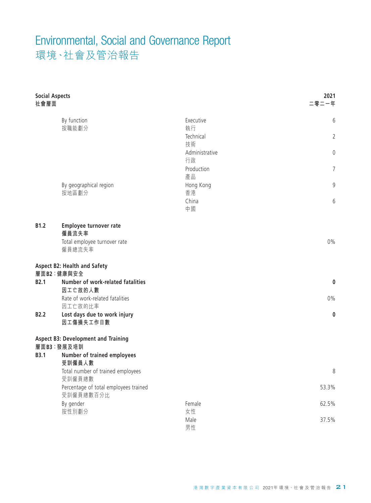| <b>Social Aspects</b><br>社會層面 |                                                          |                        | 2021<br>二零二一年  |
|-------------------------------|----------------------------------------------------------|------------------------|----------------|
|                               | By function<br>按職能劃分                                     | Executive<br>執行        | 6              |
|                               |                                                          | Technical<br>技術        | $\overline{2}$ |
|                               |                                                          | Administrative         | 0              |
|                               |                                                          | 行政<br>Production<br>產品 | $\overline{7}$ |
|                               | By geographical region<br>按地區劃分                          | Hong Kong<br>香港        | 9              |
|                               |                                                          | China<br>中國            | 6              |
| B1.2                          | Employee turnover rate<br>僱員流失率                          |                        |                |
|                               | Total employee turnover rate<br>僱員總流失率                   |                        | $0\%$          |
|                               | <b>Aspect B2: Health and Safety</b><br>層面B2:健康與安全        |                        |                |
| <b>B2.1</b>                   | Number of work-related fatalities<br>因工亡故的人數             |                        | 0              |
|                               | Rate of work-related fatalities<br>因工亡故的比率               |                        | $0\%$          |
| <b>B2.2</b>                   | Lost days due to work injury<br>因工傷損失工作日數                |                        | 0              |
|                               | <b>Aspect B3: Development and Training</b><br>層面B3:發展及培訓 |                        |                |
| <b>B3.1</b>                   | Number of trained employees<br>受訓僱員人數                    |                        |                |
|                               | Total number of trained employees<br>受訓僱員總數              |                        | 8              |
|                               | Percentage of total employees trained<br>受訓僱員總數百分比       |                        | 53.3%          |
|                               | By gender                                                | Female                 | 62.5%          |
|                               | 按性別劃分                                                    | 女性<br>Male<br>男性       | 37.5%          |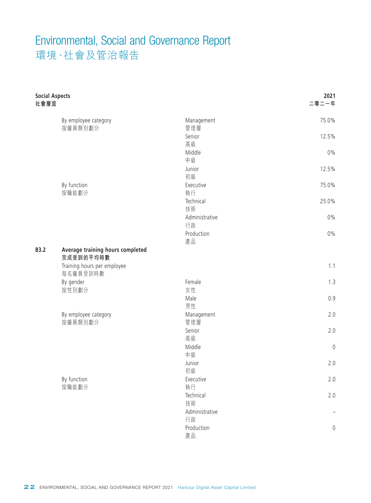| <b>Social Aspects</b><br>社會層面 |                                                                                          |                      | 2021<br>二零二一年       |
|-------------------------------|------------------------------------------------------------------------------------------|----------------------|---------------------|
|                               | By employee category<br>按僱員類別劃分                                                          | Management<br>管理層    | 75.0%               |
|                               |                                                                                          | Senior               | 12.5%               |
|                               |                                                                                          | 高級                   |                     |
|                               |                                                                                          | Middle<br>中級         | $0\%$               |
|                               |                                                                                          | Junior               | 12.5%               |
|                               |                                                                                          | 初級                   |                     |
|                               | By function                                                                              | Executive            | 75.0%               |
|                               | 按職能劃分                                                                                    | 執行                   |                     |
|                               |                                                                                          | Technical            | 25.0%               |
|                               |                                                                                          | 技術                   |                     |
|                               |                                                                                          | Administrative<br>行政 | $0\%$               |
|                               |                                                                                          | Production           | $0\%$               |
|                               |                                                                                          | 產品                   |                     |
| <b>B3.2</b>                   | Average training hours completed<br>完成受訓的平均時數<br>Training hours per employee<br>每名僱員受訓時數 |                      | 1.1                 |
|                               | By gender                                                                                | Female               | 1.3                 |
|                               | 按性別劃分                                                                                    | 女性                   |                     |
|                               |                                                                                          | Male                 | 0.9                 |
|                               |                                                                                          | 男性                   |                     |
|                               | By employee category<br>按僱員類別劃分                                                          | Management<br>管理層    | 2.0                 |
|                               |                                                                                          | Senior               | 2.0                 |
|                               |                                                                                          | 高級                   |                     |
|                               |                                                                                          | Middle               | $\mathbb O$         |
|                               |                                                                                          | 中級                   |                     |
|                               |                                                                                          | Junior               | 2.0                 |
|                               |                                                                                          | 初級                   |                     |
|                               | By function                                                                              | Executive            | $2.0$               |
|                               | 按職能劃分                                                                                    | 執行                   |                     |
|                               |                                                                                          | Technical            | $2.0$               |
|                               |                                                                                          | 技術                   |                     |
|                               |                                                                                          | Administrative<br>行政 |                     |
|                               |                                                                                          | Production           | $\mathsf{O}\xspace$ |
|                               |                                                                                          | 產品                   |                     |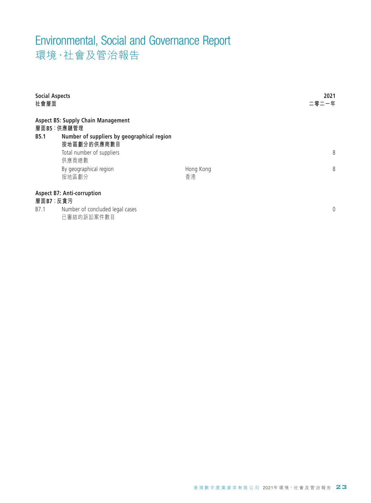| <b>Social Aspects</b><br>社會層面 |                                                         |           | 2021<br>二零二一年  |
|-------------------------------|---------------------------------------------------------|-----------|----------------|
|                               | <b>Aspect B5: Supply Chain Management</b><br>層面B5:供應鏈管理 |           |                |
| <b>B5.1</b>                   | Number of suppliers by geographical region              |           |                |
|                               | 按地區劃分的供應商數目                                             |           | 8              |
|                               | Total number of suppliers<br>供應商總數                      |           |                |
|                               | By geographical region                                  | Hong Kong | 8              |
|                               | 按地區劃分                                                   | 香港        |                |
|                               | <b>Aspect B7: Anti-corruption</b>                       |           |                |
|                               | 層面B7:反貪污                                                |           |                |
| B7.1                          | Number of concluded legal cases<br>已審結的訴訟案件數目           |           | $\overline{0}$ |